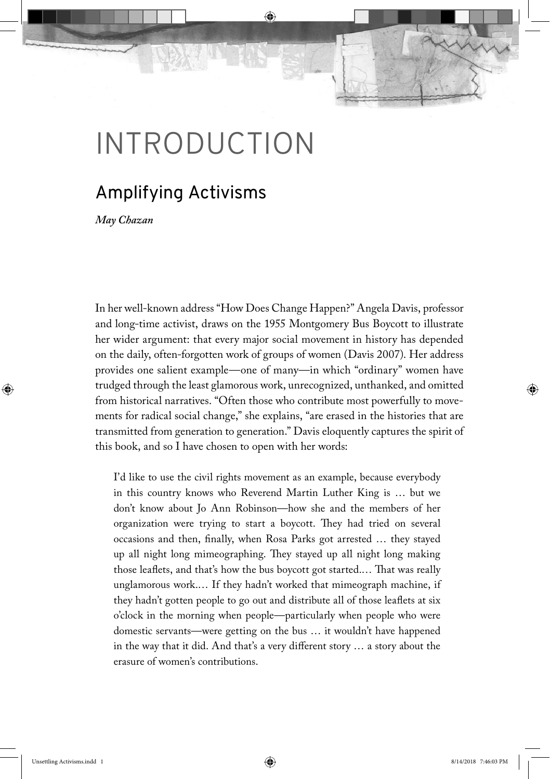# **INTRODUCTION**

## Amplifying Activisms

*May Chazan*

In her well-known address "How Does Change Happen?" Angela Davis, professor and long-time activist, draws on the 1955 Montgomery Bus Boycott to illustrate her wider argument: that every major social movement in history has depended on the daily, often-forgotten work of groups of women (Davis 2007). Her address provides one salient example—one of many—in which "ordinary" women have trudged through the least glamorous work, unrecognized, unthanked, and omitted from historical narratives. "Often those who contribute most powerfully to movements for radical social change," she explains, "are erased in the histories that are transmitted from generation to generation." Davis eloquently captures the spirit of this book, and so I have chosen to open with her words:

I'd like to use the civil rights movement as an example, because everybody in this country knows who Reverend Martin Luther King is … but we don't know about Jo Ann Robinson—how she and the members of her organization were trying to start a boycott. They had tried on several occasions and then, finally, when Rosa Parks got arrested … they stayed up all night long mimeographing. They stayed up all night long making those leaflets, and that's how the bus boycott got started.… That was really unglamorous work.… If they hadn't worked that mimeograph machine, if they hadn't gotten people to go out and distribute all of those leaflets at six o'clock in the morning when people—particularly when people who were domestic servants—were getting on the bus … it wouldn't have happened in the way that it did. And that's a very different story … a story about the erasure of women's contributions.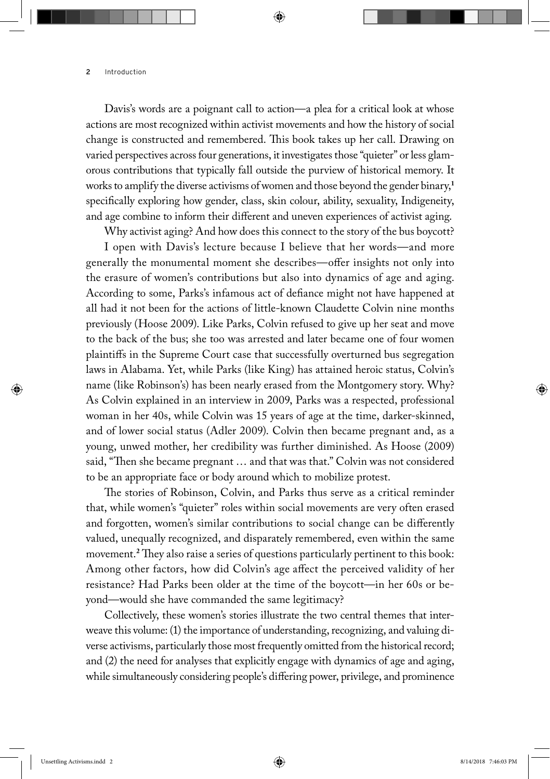Davis's words are a poignant call to action—a plea for a critical look at whose actions are most recognized within activist movements and how the history of social change is constructed and remembered. This book takes up her call. Drawing on varied perspectives across four generations, it investigates those "quieter" or less glamorous contributions that typically fall outside the purview of historical memory. It works to amplify the diverse activisms of women and those beyond the gender binary,**<sup>1</sup>** specifically exploring how gender, class, skin colour, ability, sexuality, Indigeneity, and age combine to inform their different and uneven experiences of activist aging.

Why activist aging? And how does this connect to the story of the bus boycott?

I open with Davis's lecture because I believe that her words—and more generally the monumental moment she describes—offer insights not only into the erasure of women's contributions but also into dynamics of age and aging. According to some, Parks's infamous act of defiance might not have happened at all had it not been for the actions of little-known Claudette Colvin nine months previously (Hoose 2009). Like Parks, Colvin refused to give up her seat and move to the back of the bus; she too was arrested and later became one of four women plaintiffs in the Supreme Court case that successfully overturned bus segregation laws in Alabama. Yet, while Parks (like King) has attained heroic status, Colvin's name (like Robinson's) has been nearly erased from the Montgomery story. Why? As Colvin explained in an interview in 2009, Parks was a respected, professional woman in her 40s, while Colvin was 15 years of age at the time, darker-skinned, and of lower social status (Adler 2009). Colvin then became pregnant and, as a young, unwed mother, her credibility was further diminished. As Hoose (2009) said, "Then she became pregnant … and that was that." Colvin was not considered to be an appropriate face or body around which to mobilize protest.

The stories of Robinson, Colvin, and Parks thus serve as a critical reminder that, while women's "quieter" roles within social movements are very often erased and forgotten, women's similar contributions to social change can be differently valued, unequally recognized, and disparately remembered, even within the same movement.**<sup>2</sup>** They also raise a series of questions particularly pertinent to this book: Among other factors, how did Colvin's age affect the perceived validity of her resistance? Had Parks been older at the time of the boycott—in her 60s or beyond—would she have commanded the same legitimacy?

Collectively, these women's stories illustrate the two central themes that interweave this volume: (1) the importance of understanding, recognizing, and valuing diverse activisms, particularly those most frequently omitted from the historical record; and (2) the need for analyses that explicitly engage with dynamics of age and aging, while simultaneously considering people's differing power, privilege, and prominence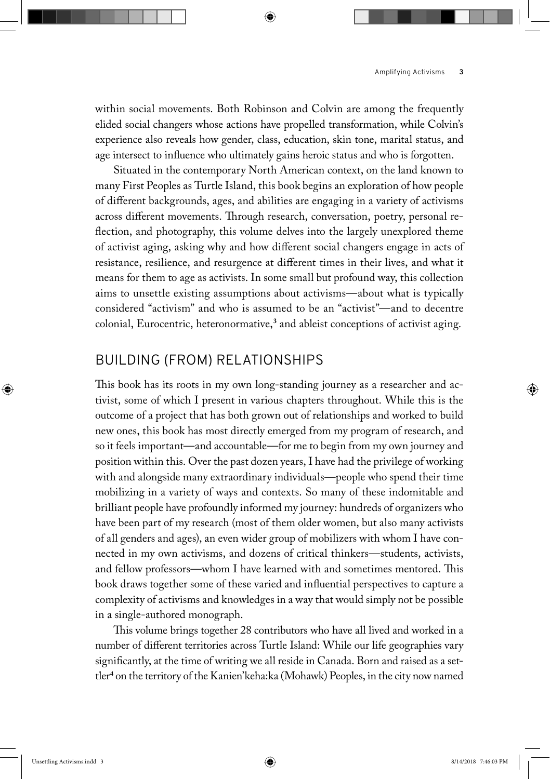within social movements. Both Robinson and Colvin are among the frequently elided social changers whose actions have propelled transformation, while Colvin's experience also reveals how gender, class, education, skin tone, marital status, and age intersect to influence who ultimately gains heroic status and who is forgotten.

Situated in the contemporary North American context, on the land known to many First Peoples as Turtle Island, this book begins an exploration of how people of different backgrounds, ages, and abilities are engaging in a variety of activisms across different movements. Through research, conversation, poetry, personal reflection, and photography, this volume delves into the largely unexplored theme of activist aging, asking why and how different social changers engage in acts of resistance, resilience, and resurgence at different times in their lives, and what it means for them to age as activists. In some small but profound way, this collection aims to unsettle existing assumptions about activisms—about what is typically considered "activism" and who is assumed to be an "activist"—and to decentre colonial, Eurocentric, heteronormative,**<sup>3</sup>** and ableist conceptions of activist aging.

## Building (from) Relationships

This book has its roots in my own long-standing journey as a researcher and activist, some of which I present in various chapters throughout. While this is the outcome of a project that has both grown out of relationships and worked to build new ones, this book has most directly emerged from my program of research, and so it feels important—and accountable—for me to begin from my own journey and position within this. Over the past dozen years, I have had the privilege of working with and alongside many extraordinary individuals—people who spend their time mobilizing in a variety of ways and contexts. So many of these indomitable and brilliant people have profoundly informed my journey: hundreds of organizers who have been part of my research (most of them older women, but also many activists of all genders and ages), an even wider group of mobilizers with whom I have connected in my own activisms, and dozens of critical thinkers—students, activists, and fellow professors—whom I have learned with and sometimes mentored. This book draws together some of these varied and influential perspectives to capture a complexity of activisms and knowledges in a way that would simply not be possible in a single-authored monograph.

This volume brings together 28 contributors who have all lived and worked in a number of different territories across Turtle Island: While our life geographies vary significantly, at the time of writing we all reside in Canada. Born and raised as a settler**<sup>4</sup>** on the territory of the Kanien'keha:ka (Mohawk) Peoples, in the city now named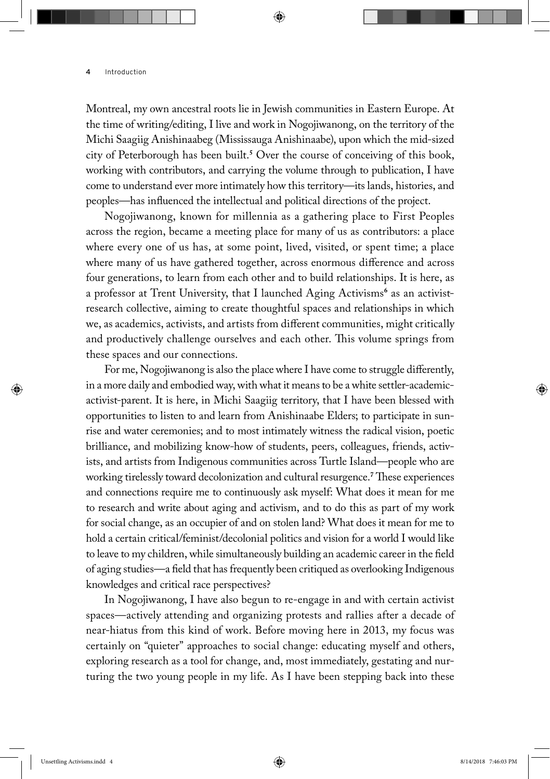Montreal, my own ancestral roots lie in Jewish communities in Eastern Europe. At the time of writing/editing, I live and work in Nogojiwanong, on the territory of the Michi Saagiig Anishinaabeg (Mississauga Anishinaabe), upon which the mid-sized city of Peterborough has been built.**<sup>5</sup>** Over the course of conceiving of this book, working with contributors, and carrying the volume through to publication, I have come to understand ever more intimately how this territory—its lands, histories, and peoples—has influenced the intellectual and political directions of the project.

Nogojiwanong, known for millennia as a gathering place to First Peoples across the region, became a meeting place for many of us as contributors: a place where every one of us has, at some point, lived, visited, or spent time; a place where many of us have gathered together, across enormous difference and across four generations, to learn from each other and to build relationships. It is here, as a professor at Trent University, that I launched Aging Activisms<sup>6</sup> as an activistresearch collective, aiming to create thoughtful spaces and relationships in which we, as academics, activists, and artists from different communities, might critically and productively challenge ourselves and each other. This volume springs from these spaces and our connections.

For me, Nogojiwanong is also the place where I have come to struggle differently, in a more daily and embodied way, with what it means to be a white settler-academicactivist-parent. It is here, in Michi Saagiig territory, that I have been blessed with opportunities to listen to and learn from Anishinaabe Elders; to participate in sunrise and water ceremonies; and to most intimately witness the radical vision, poetic brilliance, and mobilizing know-how of students, peers, colleagues, friends, activists, and artists from Indigenous communities across Turtle Island—people who are working tirelessly toward decolonization and cultural resurgence.**<sup>7</sup>** These experiences and connections require me to continuously ask myself: What does it mean for me to research and write about aging and activism, and to do this as part of my work for social change, as an occupier of and on stolen land? What does it mean for me to hold a certain critical/feminist/decolonial politics and vision for a world I would like to leave to my children, while simultaneously building an academic career in the field of aging studies—a field that has frequently been critiqued as overlooking Indigenous knowledges and critical race perspectives?

In Nogojiwanong, I have also begun to re-engage in and with certain activist spaces—actively attending and organizing protests and rallies after a decade of near-hiatus from this kind of work. Before moving here in 2013, my focus was certainly on "quieter" approaches to social change: educating myself and others, exploring research as a tool for change, and, most immediately, gestating and nurturing the two young people in my life. As I have been stepping back into these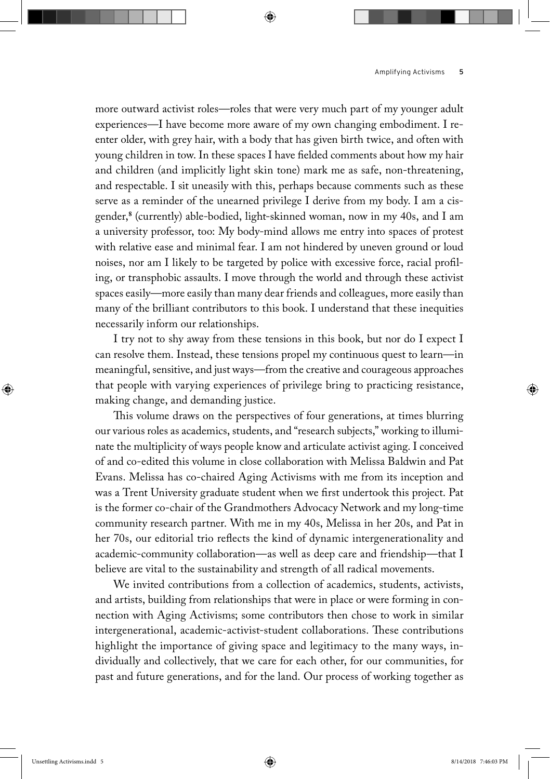more outward activist roles—roles that were very much part of my younger adult experiences—I have become more aware of my own changing embodiment. I reenter older, with grey hair, with a body that has given birth twice, and often with young children in tow. In these spaces I have fielded comments about how my hair and children (and implicitly light skin tone) mark me as safe, non-threatening, and respectable. I sit uneasily with this, perhaps because comments such as these serve as a reminder of the unearned privilege I derive from my body. I am a cisgender,**<sup>8</sup>** (currently) able-bodied, light-skinned woman, now in my 40s, and I am a university professor, too: My body-mind allows me entry into spaces of protest with relative ease and minimal fear. I am not hindered by uneven ground or loud noises, nor am I likely to be targeted by police with excessive force, racial profiling, or transphobic assaults. I move through the world and through these activist spaces easily—more easily than many dear friends and colleagues, more easily than many of the brilliant contributors to this book. I understand that these inequities necessarily inform our relationships.

I try not to shy away from these tensions in this book, but nor do I expect I can resolve them. Instead, these tensions propel my continuous quest to learn—in meaningful, sensitive, and just ways—from the creative and courageous approaches that people with varying experiences of privilege bring to practicing resistance, making change, and demanding justice.

This volume draws on the perspectives of four generations, at times blurring our various roles as academics, students, and "research subjects," working to illuminate the multiplicity of ways people know and articulate activist aging. I conceived of and co-edited this volume in close collaboration with Melissa Baldwin and Pat Evans. Melissa has co-chaired Aging Activisms with me from its inception and was a Trent University graduate student when we first undertook this project. Pat is the former co-chair of the Grandmothers Advocacy Network and my long-time community research partner. With me in my 40s, Melissa in her 20s, and Pat in her 70s, our editorial trio reflects the kind of dynamic intergenerationality and academic-community collaboration—as well as deep care and friendship—that I believe are vital to the sustainability and strength of all radical movements.

We invited contributions from a collection of academics, students, activists, and artists, building from relationships that were in place or were forming in connection with Aging Activisms; some contributors then chose to work in similar intergenerational, academic-activist-student collaborations. These contributions highlight the importance of giving space and legitimacy to the many ways, individually and collectively, that we care for each other, for our communities, for past and future generations, and for the land. Our process of working together as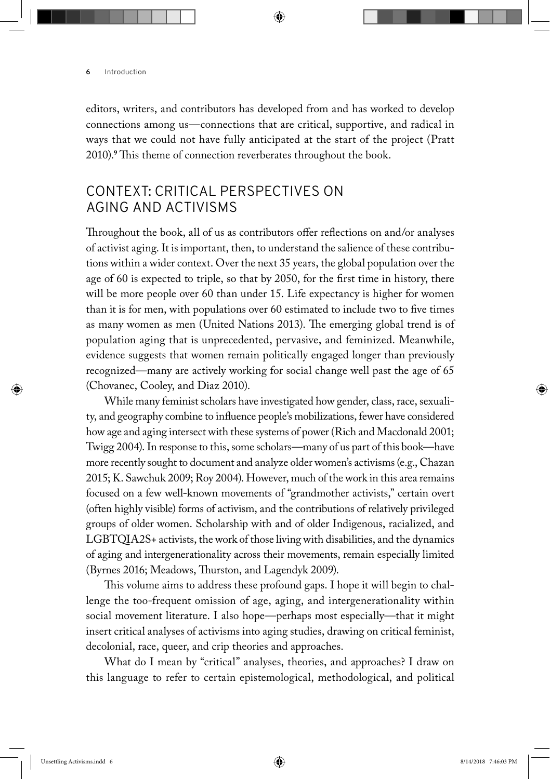editors, writers, and contributors has developed from and has worked to develop connections among us—connections that are critical, supportive, and radical in ways that we could not have fully anticipated at the start of the project (Pratt 2010).**<sup>9</sup>** This theme of connection reverberates throughout the book.

## Context: Critical Perspectives on Aging and Act ivisms

Throughout the book, all of us as contributors offer reflections on and/or analyses of activist aging. It is important, then, to understand the salience of these contributions within a wider context. Over the next 35 years, the global population over the age of 60 is expected to triple, so that by 2050, for the first time in history, there will be more people over 60 than under 15. Life expectancy is higher for women than it is for men, with populations over 60 estimated to include two to five times as many women as men (United Nations 2013). The emerging global trend is of population aging that is unprecedented, pervasive, and feminized. Meanwhile, evidence suggests that women remain politically engaged longer than previously recognized—many are actively working for social change well past the age of 65 (Chovanec, Cooley, and Diaz 2010).

While many feminist scholars have investigated how gender, class, race, sexuality, and geography combine to influence people's mobilizations, fewer have considered how age and aging intersect with these systems of power (Rich and Macdonald 2001; Twigg 2004). In response to this, some scholars—many of us part of this book—have more recently sought to document and analyze older women's activisms (e.g., Chazan 2015; K. Sawchuk 2009; Roy 2004). However, much of the work in this area remains focused on a few well-known movements of "grandmother activists," certain overt (often highly visible) forms of activism, and the contributions of relatively privileged groups of older women. Scholarship with and of older Indigenous, racialized, and LGBTQIA2S+ activists, the work of those living with disabilities, and the dynamics of aging and intergenerationality across their movements, remain especially limited (Byrnes 2016; Meadows, Thurston, and Lagendyk 2009).

This volume aims to address these profound gaps. I hope it will begin to challenge the too-frequent omission of age, aging, and intergenerationality within social movement literature. I also hope—perhaps most especially—that it might insert critical analyses of activisms into aging studies, drawing on critical feminist, decolonial, race, queer, and crip theories and approaches.

What do I mean by "critical" analyses, theories, and approaches? I draw on this language to refer to certain epistemological, methodological, and political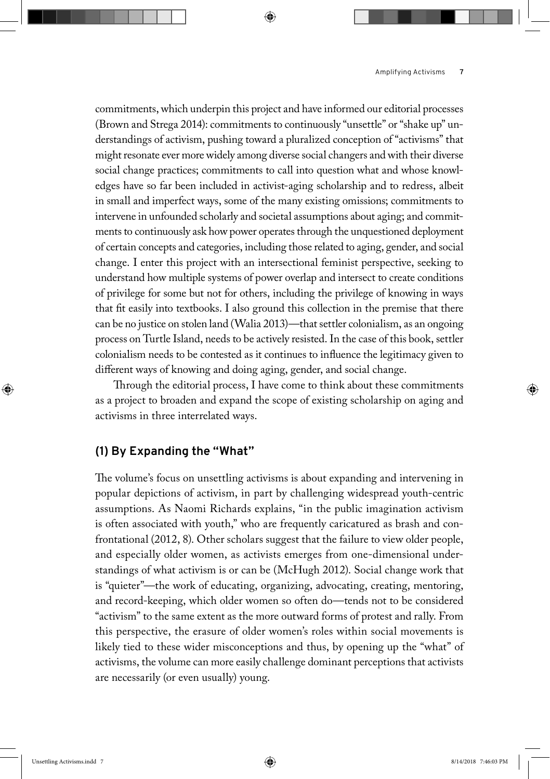commitments, which underpin this project and have informed our editorial processes (Brown and Strega 2014): commitments to continuously "unsettle" or "shake up" understandings of activism, pushing toward a pluralized conception of "activisms" that might resonate ever more widely among diverse social changers and with their diverse social change practices; commitments to call into question what and whose knowledges have so far been included in activist-aging scholarship and to redress, albeit in small and imperfect ways, some of the many existing omissions; commitments to intervene in unfounded scholarly and societal assumptions about aging; and commitments to continuously ask how power operates through the unquestioned deployment of certain concepts and categories, including those related to aging, gender, and social change. I enter this project with an intersectional feminist perspective, seeking to understand how multiple systems of power overlap and intersect to create conditions of privilege for some but not for others, including the privilege of knowing in ways that fit easily into textbooks. I also ground this collection in the premise that there can be no justice on stolen land (Walia 2013)—that settler colonialism, as an ongoing process on Turtle Island, needs to be actively resisted. In the case of this book, settler colonialism needs to be contested as it continues to influence the legitimacy given to different ways of knowing and doing aging, gender, and social change.

Through the editorial process, I have come to think about these commitments as a project to broaden and expand the scope of existing scholarship on aging and activisms in three interrelated ways.

#### **(1) By Expanding the "What"**

The volume's focus on unsettling activisms is about expanding and intervening in popular depictions of activism, in part by challenging widespread youth-centric assumptions. As Naomi Richards explains, "in the public imagination activism is often associated with youth," who are frequently caricatured as brash and confrontational (2012, 8). Other scholars suggest that the failure to view older people, and especially older women, as activists emerges from one-dimensional understandings of what activism is or can be (McHugh 2012). Social change work that is "quieter"—the work of educating, organizing, advocating, creating, mentoring, and record-keeping, which older women so often do—tends not to be considered "activism" to the same extent as the more outward forms of protest and rally. From this perspective, the erasure of older women's roles within social movements is likely tied to these wider misconceptions and thus, by opening up the "what" of activisms, the volume can more easily challenge dominant perceptions that activists are necessarily (or even usually) young.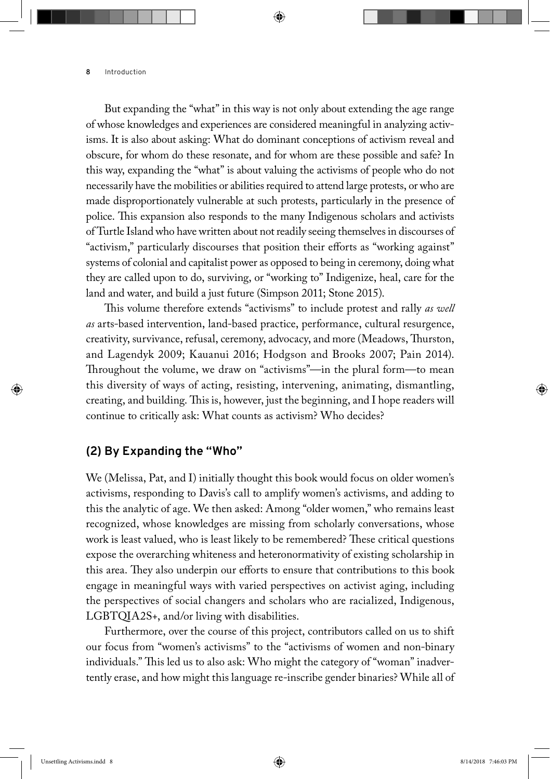But expanding the "what" in this way is not only about extending the age range of whose knowledges and experiences are considered meaningful in analyzing activisms. It is also about asking: What do dominant conceptions of activism reveal and obscure, for whom do these resonate, and for whom are these possible and safe? In this way, expanding the "what" is about valuing the activisms of people who do not necessarily have the mobilities or abilities required to attend large protests, or who are made disproportionately vulnerable at such protests, particularly in the presence of police. This expansion also responds to the many Indigenous scholars and activists of Turtle Island who have written about not readily seeing themselves in discourses of "activism," particularly discourses that position their efforts as "working against" systems of colonial and capitalist power as opposed to being in ceremony, doing what they are called upon to do, surviving, or "working to" Indigenize, heal, care for the land and water, and build a just future (Simpson 2011; Stone 2015).

This volume therefore extends "activisms" to include protest and rally *as well as* arts-based intervention, land-based practice, performance, cultural resurgence, creativity, survivance, refusal, ceremony, advocacy, and more (Meadows, Thurston, and Lagendyk 2009; Kauanui 2016; Hodgson and Brooks 2007; Pain 2014). Throughout the volume, we draw on "activisms"—in the plural form—to mean this diversity of ways of acting, resisting, intervening, animating, dismantling, creating, and building. This is, however, just the beginning, and I hope readers will continue to critically ask: What counts as activism? Who decides?

#### **(2) By Expanding the "Who"**

We (Melissa, Pat, and I) initially thought this book would focus on older women's activisms, responding to Davis's call to amplify women's activisms, and adding to this the analytic of age. We then asked: Among "older women," who remains least recognized, whose knowledges are missing from scholarly conversations, whose work is least valued, who is least likely to be remembered? These critical questions expose the overarching whiteness and heteronormativity of existing scholarship in this area. They also underpin our efforts to ensure that contributions to this book engage in meaningful ways with varied perspectives on activist aging, including the perspectives of social changers and scholars who are racialized, Indigenous, LGBTQIA2S+, and/or living with disabilities.

Furthermore, over the course of this project, contributors called on us to shift our focus from "women's activisms" to the "activisms of women and non-binary individuals." This led us to also ask: Who might the category of "woman" inadvertently erase, and how might this language re-inscribe gender binaries? While all of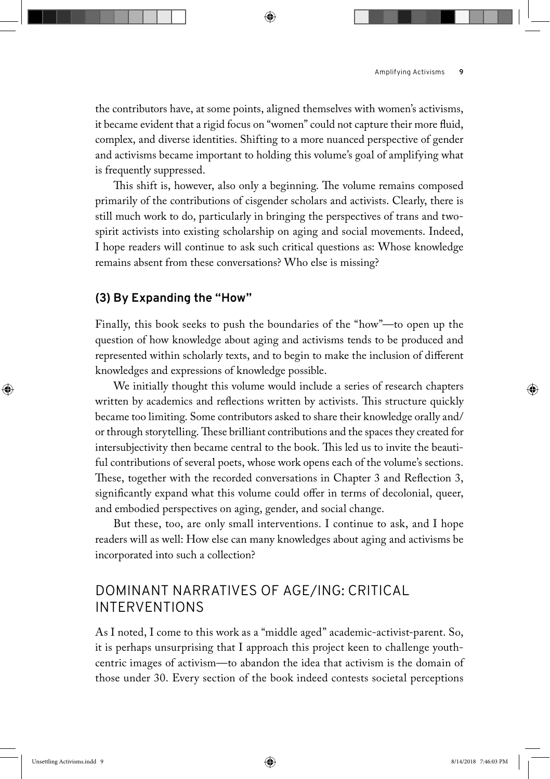the contributors have, at some points, aligned themselves with women's activisms, it became evident that a rigid focus on "women" could not capture their more fluid, complex, and diverse identities. Shifting to a more nuanced perspective of gender and activisms became important to holding this volume's goal of amplifying what is frequently suppressed.

This shift is, however, also only a beginning. The volume remains composed primarily of the contributions of cisgender scholars and activists. Clearly, there is still much work to do, particularly in bringing the perspectives of trans and twospirit activists into existing scholarship on aging and social movements. Indeed, I hope readers will continue to ask such critical questions as: Whose knowledge remains absent from these conversations? Who else is missing?

#### **(3) By Expanding the "How"**

Finally, this book seeks to push the boundaries of the "how"—to open up the question of how knowledge about aging and activisms tends to be produced and represented within scholarly texts, and to begin to make the inclusion of different knowledges and expressions of knowledge possible.

We initially thought this volume would include a series of research chapters written by academics and reflections written by activists. This structure quickly became too limiting. Some contributors asked to share their knowledge orally and/ or through storytelling. These brilliant contributions and the spaces they created for intersubjectivity then became central to the book. This led us to invite the beautiful contributions of several poets, whose work opens each of the volume's sections. These, together with the recorded conversations in Chapter 3 and Reflection 3, significantly expand what this volume could offer in terms of decolonial, queer, and embodied perspectives on aging, gender, and social change.

But these, too, are only small interventions. I continue to ask, and I hope readers will as well: How else can many knowledges about aging and activisms be incorporated into such a collection?

## DOMINANT NARRATIVES OF AGE/ING: CRITICAL **INTERVENTIONS**

As I noted, I come to this work as a "middle aged" academic-activist-parent. So, it is perhaps unsurprising that I approach this project keen to challenge youthcentric images of activism—to abandon the idea that activism is the domain of those under 30. Every section of the book indeed contests societal perceptions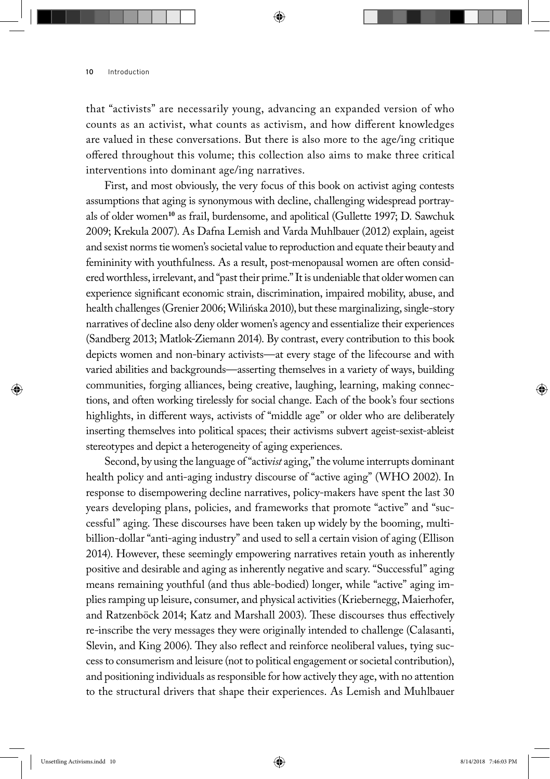that "activists" are necessarily young, advancing an expanded version of who counts as an activist, what counts as activism, and how different knowledges are valued in these conversations. But there is also more to the age/ing critique offered throughout this volume; this collection also aims to make three critical interventions into dominant age/ing narratives.

First, and most obviously, the very focus of this book on activist aging contests assumptions that aging is synonymous with decline, challenging widespread portrayals of older women**<sup>10</sup>** as frail, burdensome, and apolitical (Gullette 1997; D. Sawchuk 2009; Krekula 2007). As Dafna Lemish and Varda Muhlbauer (2012) explain, ageist and sexist norms tie women's societal value to reproduction and equate their beauty and femininity with youthfulness. As a result, post-menopausal women are often considered worthless, irrelevant, and "past their prime." It is undeniable that older women can experience significant economic strain, discrimination, impaired mobility, abuse, and health challenges (Grenier 2006; Wilińska 2010), but these marginalizing, single-story narratives of decline also deny older women's agency and essentialize their experiences (Sandberg 2013; Matlok-Ziemann 2014). By contrast, every contribution to this book depicts women and non-binary activists—at every stage of the lifecourse and with varied abilities and backgrounds—asserting themselves in a variety of ways, building communities, forging alliances, being creative, laughing, learning, making connections, and often working tirelessly for social change. Each of the book's four sections highlights, in different ways, activists of "middle age" or older who are deliberately inserting themselves into political spaces; their activisms subvert ageist-sexist-ableist stereotypes and depict a heterogeneity of aging experiences.

Second, by using the language of "activ*ist* aging," the volume interrupts dominant health policy and anti-aging industry discourse of "active aging" (WHO 2002). In response to disempowering decline narratives, policy-makers have spent the last 30 years developing plans, policies, and frameworks that promote "active" and "successful" aging. These discourses have been taken up widely by the booming, multibillion-dollar "anti-aging industry" and used to sell a certain vision of aging (Ellison 2014). However, these seemingly empowering narratives retain youth as inherently positive and desirable and aging as inherently negative and scary. "Successful" aging means remaining youthful (and thus able-bodied) longer, while "active" aging implies ramping up leisure, consumer, and physical activities (Kriebernegg, Maierhofer, and Ratzenböck 2014; Katz and Marshall 2003). These discourses thus effectively re-inscribe the very messages they were originally intended to challenge (Calasanti, Slevin, and King 2006). They also reflect and reinforce neoliberal values, tying success to consumerism and leisure (not to political engagement or societal contribution), and positioning individuals as responsible for how actively they age, with no attention to the structural drivers that shape their experiences. As Lemish and Muhlbauer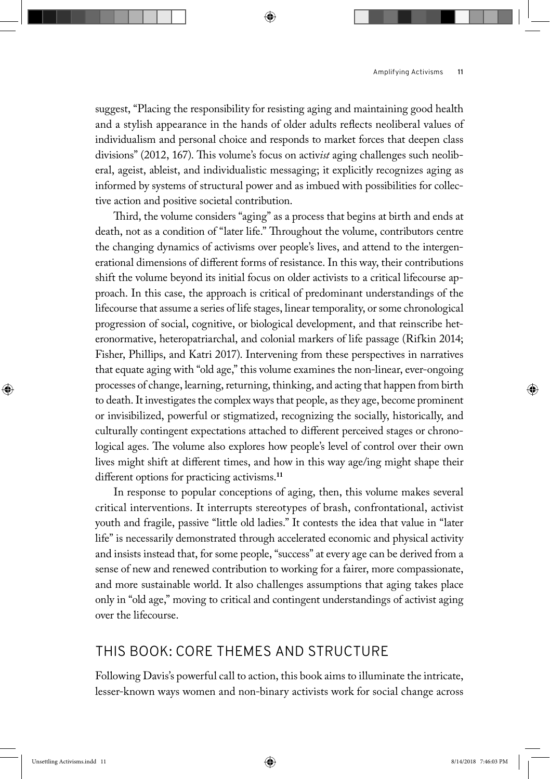suggest, "Placing the responsibility for resisting aging and maintaining good health and a stylish appearance in the hands of older adults reflects neoliberal values of individualism and personal choice and responds to market forces that deepen class divisions" (2012, 167). This volume's focus on activ*ist* aging challenges such neoliberal, ageist, ableist, and individualistic messaging; it explicitly recognizes aging as informed by systems of structural power and as imbued with possibilities for collective action and positive societal contribution.

Third, the volume considers "aging" as a process that begins at birth and ends at death, not as a condition of "later life." Throughout the volume, contributors centre the changing dynamics of activisms over people's lives, and attend to the intergenerational dimensions of different forms of resistance. In this way, their contributions shift the volume beyond its initial focus on older activists to a critical lifecourse approach. In this case, the approach is critical of predominant understandings of the lifecourse that assume a series of life stages, linear temporality, or some chronological progression of social, cognitive, or biological development, and that reinscribe heteronormative, heteropatriarchal, and colonial markers of life passage (Rifkin 2014; Fisher, Phillips, and Katri 2017). Intervening from these perspectives in narratives that equate aging with "old age," this volume examines the non-linear, ever-ongoing processes of change, learning, returning, thinking, and acting that happen from birth to death. It investigates the complex ways that people, as they age, become prominent or invisibilized, powerful or stigmatized, recognizing the socially, historically, and culturally contingent expectations attached to different perceived stages or chronological ages. The volume also explores how people's level of control over their own lives might shift at different times, and how in this way age/ing might shape their different options for practicing activisms.**<sup>11</sup>**

In response to popular conceptions of aging, then, this volume makes several critical interventions. It interrupts stereotypes of brash, confrontational, activist youth and fragile, passive "little old ladies." It contests the idea that value in "later life" is necessarily demonstrated through accelerated economic and physical activity and insists instead that, for some people, "success" at every age can be derived from a sense of new and renewed contribution to working for a fairer, more compassionate, and more sustainable world. It also challenges assumptions that aging takes place only in "old age," moving to critical and contingent understandings of activist aging over the lifecourse.

### THIS BOOK: CORE THEMES AND STRUCTURE

Following Davis's powerful call to action, this book aims to illuminate the intricate, lesser-known ways women and non-binary activists work for social change across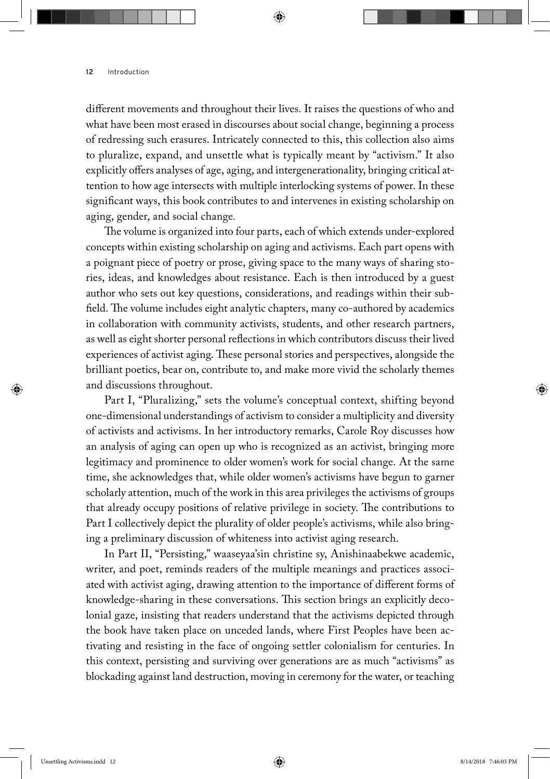different movements and throughout their lives. It raises the questions of who and what have been most erased in discourses about social change, beginning a process of redressing such erasures. Intricately connected to this, this collection also aims to pluralize, expand, and unsettle what is typically meant by "activism." It also explicitly offers analyses of age, aging, and intergenerationality, bringing critical attention to how age intersects with multiple interlocking systems of power. In these significant ways, this book contributes to and intervenes in existing scholarship on aging, gender, and social change*.*

The volume is organized into four parts, each of which extends under-explored concepts within existing scholarship on aging and activisms. Each part opens with a poignant piece of poetry or prose, giving space to the many ways of sharing stories, ideas, and knowledges about resistance. Each is then introduced by a guest author who sets out key questions, considerations, and readings within their subfield. The volume includes eight analytic chapters, many co-authored by academics in collaboration with community activists, students, and other research partners, as well as eight shorter personal reflections in which contributors discuss their lived experiences of activist aging. These personal stories and perspectives, alongside the brilliant poetics, bear on, contribute to, and make more vivid the scholarly themes and discussions throughout.

Part I, "Pluralizing," sets the volume's conceptual context, shifting beyond one-dimensional understandings of activism to consider a multiplicity and diversity of activists and activisms. In her introductory remarks, Carole Roy discusses how an analysis of aging can open up who is recognized as an activist, bringing more legitimacy and prominence to older women's work for social change. At the same time, she acknowledges that, while older women's activisms have begun to garner scholarly attention, much of the work in this area privileges the activisms of groups that already occupy positions of relative privilege in society. The contributions to Part I collectively depict the plurality of older people's activisms, while also bringing a preliminary discussion of whiteness into activist aging research.

In Part II, "Persisting," waaseyaa'sin christine sy, Anishinaabekwe academic, writer, and poet, reminds readers of the multiple meanings and practices associated with activist aging, drawing attention to the importance of different forms of knowledge-sharing in these conversations. This section brings an explicitly decolonial gaze, insisting that readers understand that the activisms depicted through the book have taken place on unceded lands, where First Peoples have been activating and resisting in the face of ongoing settler colonialism for centuries. In this context, persisting and surviving over generations are as much "activisms" as blockading against land destruction, moving in ceremony for the water, or teaching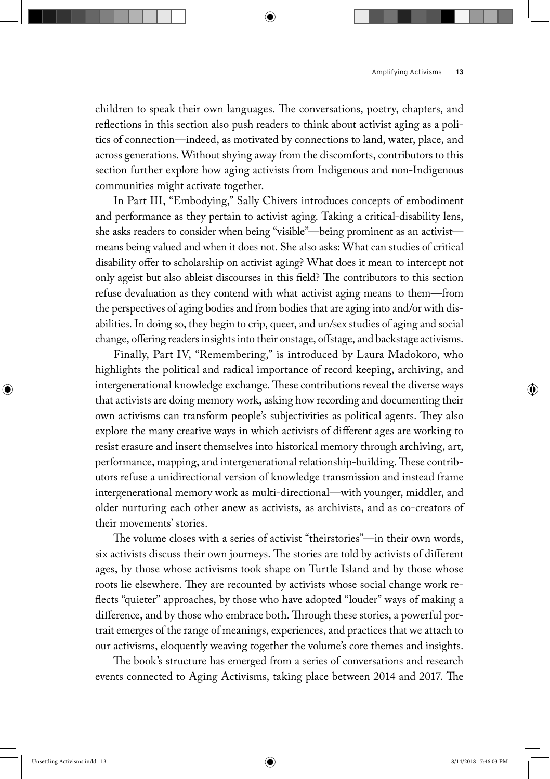children to speak their own languages. The conversations, poetry, chapters, and reflections in this section also push readers to think about activist aging as a politics of connection—indeed, as motivated by connections to land, water, place, and across generations. Without shying away from the discomforts, contributors to this section further explore how aging activists from Indigenous and non-Indigenous communities might activate together.

In Part III, "Embodying," Sally Chivers introduces concepts of embodiment and performance as they pertain to activist aging. Taking a critical-disability lens, she asks readers to consider when being "visible"—being prominent as an activist means being valued and when it does not. She also asks: What can studies of critical disability offer to scholarship on activist aging? What does it mean to intercept not only ageist but also ableist discourses in this field? The contributors to this section refuse devaluation as they contend with what activist aging means to them—from the perspectives of aging bodies and from bodies that are aging into and/or with disabilities. In doing so, they begin to crip, queer, and un/sex studies of aging and social change, offering readers insights into their onstage, offstage, and backstage activisms.

Finally, Part IV, "Remembering," is introduced by Laura Madokoro, who highlights the political and radical importance of record keeping, archiving, and intergenerational knowledge exchange. These contributions reveal the diverse ways that activists are doing memory work, asking how recording and documenting their own activisms can transform people's subjectivities as political agents. They also explore the many creative ways in which activists of different ages are working to resist erasure and insert themselves into historical memory through archiving, art, performance, mapping, and intergenerational relationship-building. These contributors refuse a unidirectional version of knowledge transmission and instead frame intergenerational memory work as multi-directional—with younger, middler, and older nurturing each other anew as activists, as archivists, and as co-creators of their movements' stories.

The volume closes with a series of activist "theirstories"—in their own words, six activists discuss their own journeys. The stories are told by activists of different ages, by those whose activisms took shape on Turtle Island and by those whose roots lie elsewhere. They are recounted by activists whose social change work reflects "quieter" approaches, by those who have adopted "louder" ways of making a difference, and by those who embrace both. Through these stories, a powerful portrait emerges of the range of meanings, experiences, and practices that we attach to our activisms, eloquently weaving together the volume's core themes and insights.

The book's structure has emerged from a series of conversations and research events connected to Aging Activisms, taking place between 2014 and 2017. The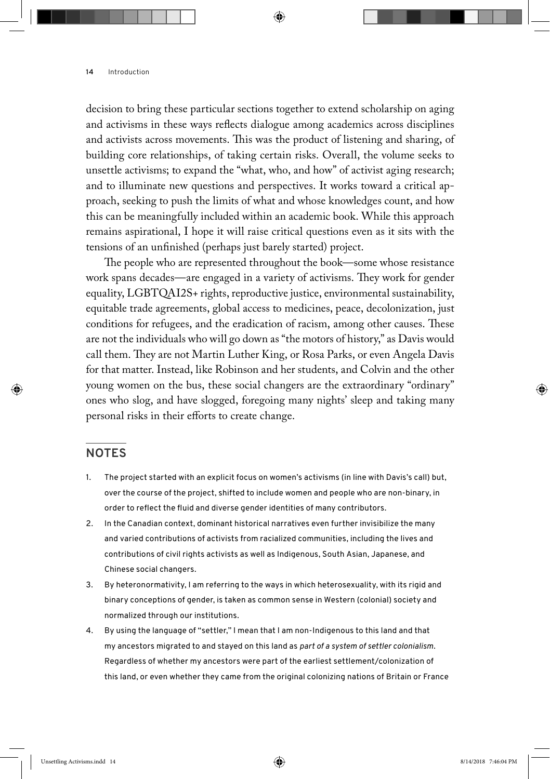decision to bring these particular sections together to extend scholarship on aging and activisms in these ways reflects dialogue among academics across disciplines and activists across movements. This was the product of listening and sharing, of building core relationships, of taking certain risks. Overall, the volume seeks to unsettle activisms; to expand the "what, who, and how" of activist aging research; and to illuminate new questions and perspectives. It works toward a critical approach, seeking to push the limits of what and whose knowledges count, and how this can be meaningfully included within an academic book. While this approach remains aspirational, I hope it will raise critical questions even as it sits with the tensions of an unfinished (perhaps just barely started) project.

The people who are represented throughout the book—some whose resistance work spans decades—are engaged in a variety of activisms. They work for gender equality, LGBTQAI2S+ rights, reproductive justice, environmental sustainability, equitable trade agreements, global access to medicines, peace, decolonization, just conditions for refugees, and the eradication of racism, among other causes. These are not the individuals who will go down as "the motors of history," as Davis would call them. They are not Martin Luther King, or Rosa Parks, or even Angela Davis for that matter. Instead, like Robinson and her students, and Colvin and the other young women on the bus, these social changers are the extraordinary "ordinary" ones who slog, and have slogged, foregoing many nights' sleep and taking many personal risks in their efforts to create change.

#### **Notes**

- 1. The project started with an explicit focus on women's activisms (in line with Davis's call) but, over the course of the project, shifted to include women and people who are non-binary, in order to reflect the fluid and diverse gender identities of many contributors.
- 2. In the Canadian context, dominant historical narratives even further invisibilize the many and varied contributions of activists from racialized communities, including the lives and contributions of civil rights activists as well as Indigenous, South Asian, Japanese, and Chinese social changers.
- 3. By heteronormativity, I am referring to the ways in which heterosexuality, with its rigid and binary conceptions of gender, is taken as common sense in Western (colonial) society and normalized through our institutions.
- 4. By using the language of "settler," I mean that I am non-Indigenous to this land and that my ancestors migrated to and stayed on this land as *part of a system of settler colonialism*. Regardless of whether my ancestors were part of the earliest settlement/colonization of this land, or even whether they came from the original colonizing nations of Britain or France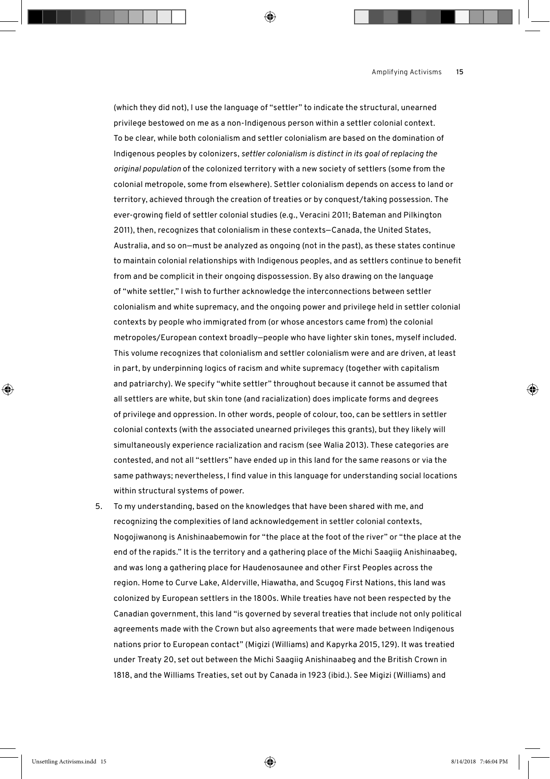(which they did not), I use the language of "settler" to indicate the structural, unearned privilege bestowed on me as a non-Indigenous person within a settler colonial context. To be clear, while both colonialism and settler colonialism are based on the domination of Indigenous peoples by colonizers, *settler colonialism is distinct in its goal of replacing the original population* of the colonized territory with a new society of settlers (some from the colonial metropole, some from elsewhere). Settler colonialism depends on access to land or territory, achieved through the creation of treaties or by conquest/taking possession. The ever-growing field of settler colonial studies (e.g., Veracini 2011; Bateman and Pilkington 2011), then, recognizes that colonialism in these contexts—Canada, the United States, Australia, and so on—must be analyzed as ongoing (not in the past), as these states continue to maintain colonial relationships with Indigenous peoples, and as settlers continue to benefit from and be complicit in their ongoing dispossession. By also drawing on the language of "white settler," I wish to further acknowledge the interconnections between settler colonialism and white supremacy, and the ongoing power and privilege held in settler colonial contexts by people who immigrated from (or whose ancestors came from) the colonial metropoles/European context broadly—people who have lighter skin tones, myself included. This volume recognizes that colonialism and settler colonialism were and are driven, at least in part, by underpinning logics of racism and white supremacy (together with capitalism and patriarchy). We specify "white settler" throughout because it cannot be assumed that all settlers are white, but skin tone (and racialization) does implicate forms and degrees of privilege and oppression. In other words, people of colour, too, can be settlers in settler colonial contexts (with the associated unearned privileges this grants), but they likely will simultaneously experience racialization and racism (see Walia 2013). These categories are contested, and not all "settlers" have ended up in this land for the same reasons or via the same pathways; nevertheless, I find value in this language for understanding social locations within structural systems of power.

5. To my understanding, based on the knowledges that have been shared with me, and recognizing the complexities of land acknowledgement in settler colonial contexts, Nogojiwanong is Anishinaabemowin for "the place at the foot of the river" or "the place at the end of the rapids." It is the territory and a gathering place of the Michi Saagiig Anishinaabeg, and was long a gathering place for Haudenosaunee and other First Peoples across the region. Home to Curve Lake, Alderville, Hiawatha, and Scugog First Nations, this land was colonized by European settlers in the 1800s. While treaties have not been respected by the Canadian government, this land "is governed by several treaties that include not only political agreements made with the Crown but also agreements that were made between Indigenous nations prior to European contact" (Migizi (Williams) and Kapyrka 2015, 129). It was treatied under Treaty 20, set out between the Michi Saagiig Anishinaabeg and the British Crown in 1818, and the Williams Treaties, set out by Canada in 1923 (ibid.). See Migizi (Williams) and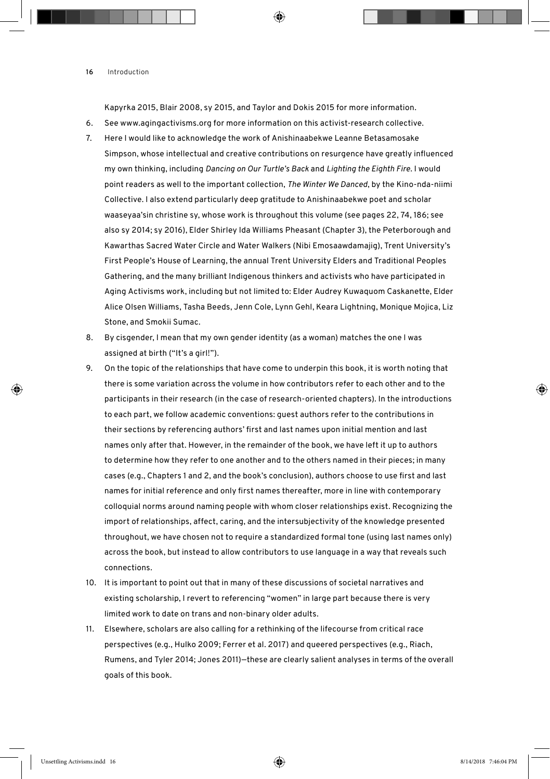Kapyrka 2015, Blair 2008, sy 2015, and Taylor and Dokis 2015 for more information.

- 6. See www.agingactivisms.org for more information on this activist-research collective.
- 7. Here I would like to acknowledge the work of Anishinaabekwe Leanne Betasamosake Simpson, whose intellectual and creative contributions on resurgence have greatly influenced my own thinking, including *Dancing on Our Turtle's Back* and *Lighting the Eighth Fire*. I would point readers as well to the important collection, *The Winter We Danced*, by the Kino-nda-niimi Collective. I also extend particularly deep gratitude to Anishinaabekwe poet and scholar waaseyaa'sin christine sy, whose work is throughout this volume (see pages 22, 74, 186; see also sy 2014; sy 2016), Elder Shirley Ida Williams Pheasant (Chapter 3), the Peterborough and Kawarthas Sacred Water Circle and Water Walkers (Nibi Emosaawdamajig), Trent University's First People's House of Learning, the annual Trent University Elders and Traditional Peoples Gathering, and the many brilliant Indigenous thinkers and activists who have participated in Aging Activisms work, including but not limited to: Elder Audrey Kuwaquom Caskanette, Elder Alice Olsen Williams, Tasha Beeds, Jenn Cole, Lynn Gehl, Keara Lightning, Monique Mojica, Liz Stone, and Smokii Sumac.
- 8. By cisgender, I mean that my own gender identity (as a woman) matches the one I was assigned at birth ("It's a girl!").
- 9. On the topic of the relationships that have come to underpin this book, it is worth noting that there is some variation across the volume in how contributors refer to each other and to the participants in their research (in the case of research-oriented chapters). In the introductions to each part, we follow academic conventions: guest authors refer to the contributions in their sections by referencing authors' first and last names upon initial mention and last names only after that. However, in the remainder of the book, we have left it up to authors to determine how they refer to one another and to the others named in their pieces; in many cases (e.g., Chapters 1 and 2, and the book's conclusion), authors choose to use first and last names for initial reference and only first names thereafter, more in line with contemporary colloquial norms around naming people with whom closer relationships exist. Recognizing the import of relationships, affect, caring, and the intersubjectivity of the knowledge presented throughout, we have chosen not to require a standardized formal tone (using last names only) across the book, but instead to allow contributors to use language in a way that reveals such connections.
- 10. It is important to point out that in many of these discussions of societal narratives and existing scholarship, I revert to referencing "women" in large part because there is very limited work to date on trans and non-binary older adults.
- 11. Elsewhere, scholars are also calling for a rethinking of the lifecourse from critical race perspectives (e.g., Hulko 2009; Ferrer et al. 2017) and queered perspectives (e.g., Riach, Rumens, and Tyler 2014; Jones 2011)—these are clearly salient analyses in terms of the overall goals of this book.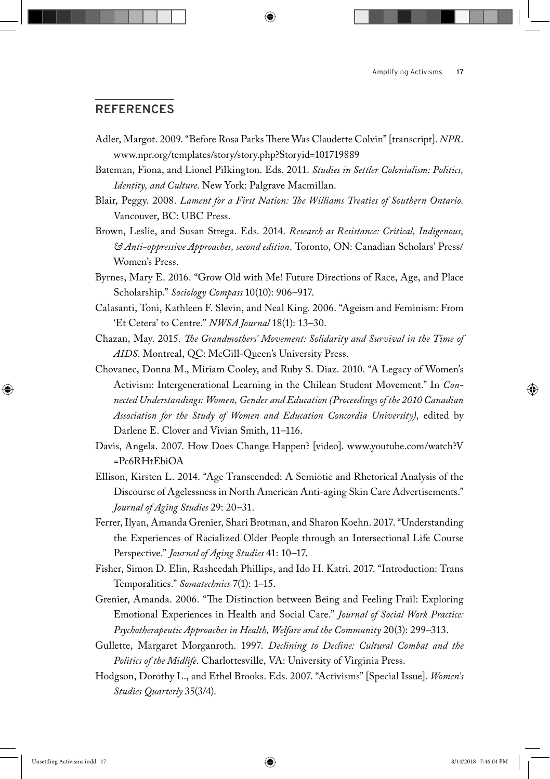#### **References**

- Adler, Margot. 2009. "Before Rosa Parks There Was Claudette Colvin" [transcript]. *NPR*. www.npr.org/templates/story/story.php?Storyid=101719889
- Bateman, Fiona, and Lionel Pilkington. Eds. 2011. *Studies in Settler Colonialism: Politics, Identity, and Culture.* New York: Palgrave Macmillan.
- Blair, Peggy. 2008. *Lament for a First Nation: The Williams Treaties of Southern Ontario.*  Vancouver, BC: UBC Press.
- Brown, Leslie, and Susan Strega. Eds. 2014. *Research as Resistance: Critical, Indigenous, & Anti-oppressive Approaches, second edition*. Toronto, ON: Canadian Scholars' Press/ Women's Press.
- Byrnes, Mary E. 2016. "Grow Old with Me! Future Directions of Race, Age, and Place Scholarship." *Sociology Compass* 10(10): 906–917.
- Calasanti, Toni, Kathleen F. Slevin, and Neal King. 2006. "Ageism and Feminism: From 'Et Cetera' to Centre." *NWSA Journal* 18(1): 13–30.
- Chazan, May. 2015. *The Grandmothers' Movement: Solidarity and Survival in the Time of AIDS*. Montreal, QC: McGill-Queen's University Press.
- Chovanec, Donna M., Miriam Cooley, and Ruby S. Diaz. 2010. "A Legacy of Women's Activism: Intergenerational Learning in the Chilean Student Movement." In *Connected Understandings: Women, Gender and Education (Proceedings of the 2010 Canadian Association for the Study of Women and Education Concordia University)*, edited by Darlene E. Clover and Vivian Smith, 11–116.
- Davis, Angela. 2007. How Does Change Happen? [video]. www.youtube.com/watch?V =Pc6RHtEbiOA
- Ellison, Kirsten L. 2014. "Age Transcended: A Semiotic and Rhetorical Analysis of the Discourse of Agelessness in North American Anti-aging Skin Care Advertisements." *Journal of Aging Studies* 29: 20–31.
- Ferrer, Ilyan, Amanda Grenier, Shari Brotman, and Sharon Koehn. 2017. "Understanding the Experiences of Racialized Older People through an Intersectional Life Course Perspective." *Journal of Aging Studies* 41: 10–17.
- Fisher, Simon D. Elin, Rasheedah Phillips, and Ido H. Katri. 2017. "Introduction: Trans Temporalities." *Somatechnics* 7(1): 1–15.
- Grenier, Amanda. 2006. "The Distinction between Being and Feeling Frail: Exploring Emotional Experiences in Health and Social Care." *Journal of Social Work Practice: Psychotherapeutic Approaches in Health, Welfare and the Community* 20(3): 299–313.
- Gullette, Margaret Morganroth. 1997. *Declining to Decline: Cultural Combat and the Politics of the Midlife*. Charlottesville, VA: University of Virginia Press.
- Hodgson, Dorothy L., and Ethel Brooks. Eds. 2007. "Activisms" [Special Issue]. *Women's Studies Quarterly* 35(3/4).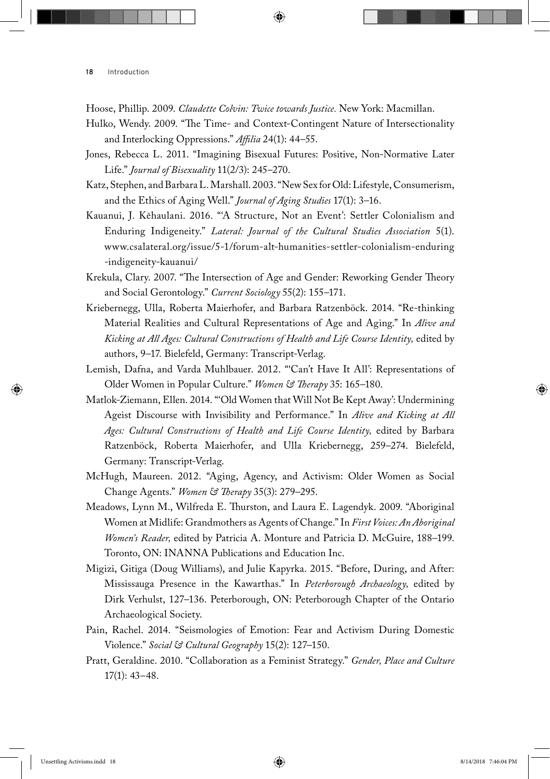- Hoose, Phillip. 2009. *Claudette Colvin: Twice towards Justice.* New York: Macmillan.
- Hulko, Wendy. 2009. "The Time- and Context-Contingent Nature of Intersectionality and Interlocking Oppressions." *Affilia* 24(1): 44–55.
- Jones, Rebecca L. 2011. "Imagining Bisexual Futures: Positive, Non-Normative Later Life." *Journal of Bisexuality* 11(2/3): 245–270.
- Katz, Stephen, and Barbara L. Marshall. 2003. "New Sex for Old: Lifestyle, Consumerism, and the Ethics of Aging Well." *Journal of Aging Studies* 17(1): 3–16.
- Kauanui, J. Kēhaulani. 2016. "'A Structure, Not an Event': Settler Colonialism and Enduring Indigeneity." *Lateral: Journal of the Cultural Studies Association* 5(1). www.csalateral.org/issue/5-1/forum-alt-humanities-settler-colonialism-enduring -indigeneity-kauanui/
- Krekula, Clary. 2007. "The Intersection of Age and Gender: Reworking Gender Theory and Social Gerontology." *Current Sociology* 55(2): 155–171.
- Kriebernegg, Ulla, Roberta Maierhofer, and Barbara Ratzenböck. 2014. "Re-thinking Material Realities and Cultural Representations of Age and Aging." In *Alive and*  Kicking at All Ages: Cultural Constructions of Health and Life Course Identity, edited by authors, 9–17*.* Bielefeld, Germany: Transcript-Verlag.
- Lemish, Dafna, and Varda Muhlbauer. 2012. "'Can't Have It All': Representations of Older Women in Popular Culture." *Women & Therapy* 35: 165–180.
- Matlok-Ziemann, Ellen. 2014. "'Old Women that Will Not Be Kept Away': Undermining Ageist Discourse with Invisibility and Performance." In *Alive and Kicking at All*  Ages: Cultural Constructions of Health and Life Course Identity, edited by Barbara Ratzenböck, Roberta Maierhofer, and Ulla Kriebernegg, 259–274. Bielefeld, Germany: Transcript-Verlag.
- McHugh, Maureen. 2012. "Aging, Agency, and Activism: Older Women as Social Change Agents." *Women & Therapy* 35(3): 279–295.
- Meadows, Lynn M., Wilfreda E. Thurston, and Laura E. Lagendyk. 2009. "Aboriginal Women at Midlife: Grandmothers as Agents of Change." In *First Voices: An Aboriginal Women's Reader,* edited by Patricia A. Monture and Patricia D. McGuire, 188–199. Toronto, ON: INANNA Publications and Education Inc.
- Migizi, Gitiga (Doug Williams), and Julie Kapyrka. 2015. "Before, During, and After: Mississauga Presence in the Kawarthas." In *Peterborough Archaeology,* edited by Dirk Verhulst, 127–136. Peterborough, ON: Peterborough Chapter of the Ontario Archaeological Society.
- Pain, Rachel. 2014. "Seismologies of Emotion: Fear and Activism During Domestic Violence." *Social & Cultural Geography* 15(2): 127–150.
- Pratt, Geraldine. 2010. "Collaboration as a Feminist Strategy." *Gender, Place and Culture*  17(1): 43–48.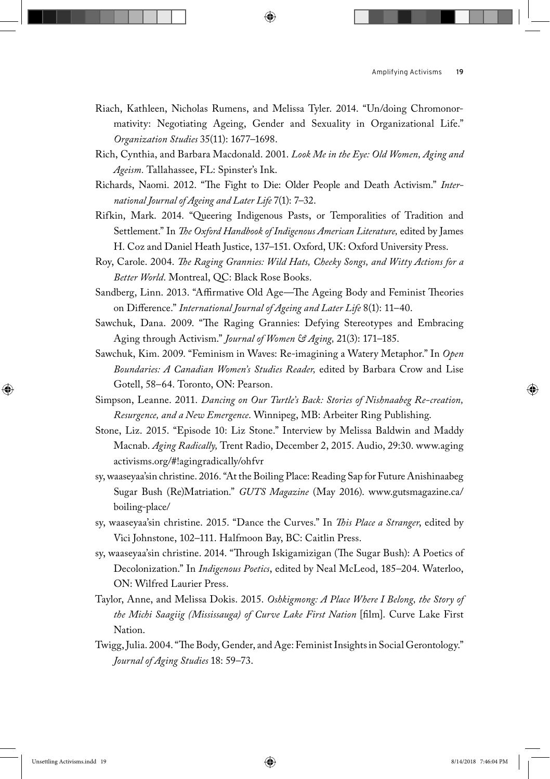- Riach, Kathleen, Nicholas Rumens, and Melissa Tyler. 2014. "Un/doing Chromonormativity: Negotiating Ageing, Gender and Sexuality in Organizational Life." *Organization Studies* 35(11): 1677–1698.
- Rich, Cynthia, and Barbara Macdonald. 2001. *Look Me in the Eye: Old Women, Aging and Ageism.* Tallahassee, FL: Spinster's Ink.
- Richards, Naomi. 2012. "The Fight to Die: Older People and Death Activism." *International Journal of Ageing and Later Life* 7(1): 7–32.
- Rifkin, Mark. 2014. "Queering Indigenous Pasts, or Temporalities of Tradition and Settlement." In *The Oxford Handbook of Indigenous American Literature*, edited by James H. Coz and Daniel Heath Justice, 137–151. Oxford, UK: Oxford University Press.
- Roy, Carole. 2004. *The Raging Grannies: Wild Hats, Cheeky Songs, and Witty Actions for a Better World*. Montreal, QC: Black Rose Books.
- Sandberg, Linn. 2013. "Affirmative Old Age—The Ageing Body and Feminist Theories on Difference." *International Journal of Ageing and Later Life* 8(1): 11–40.
- Sawchuk, Dana. 2009. "The Raging Grannies: Defying Stereotypes and Embracing Aging through Activism." *Journal of Women & Aging,* 21(3): 171–185.
- Sawchuk, Kim. 2009. "Feminism in Waves: Re-imagining a Watery Metaphor." In *Open Boundaries: A Canadian Women's Studies Reader,* edited by Barbara Crow and Lise Gotell, 58–64. Toronto, ON: Pearson.
- Simpson, Leanne. 2011. *Dancing on Our Turtle's Back: Stories of Nishnaabeg Re-creation, Resurgence, and a New Emergence*. Winnipeg, MB: Arbeiter Ring Publishing.
- Stone, Liz. 2015. "Episode 10: Liz Stone." Interview by Melissa Baldwin and Maddy Macnab. *Aging Radically,* Trent Radio, December 2, 2015. Audio, 29:30. www.aging activisms.org/#!agingradically/ohfvr
- sy, waaseyaa'sin christine. 2016. "At the Boiling Place: Reading Sap for Future Anishinaabeg Sugar Bush (Re)Matriation." *GUTS Magazine* (May 2016). www.gutsmagazine.ca/ boiling-place/
- sy, waaseyaa'sin christine. 2015. "Dance the Curves." In *This Place a Stranger*, edited by Vici Johnstone, 102–111. Halfmoon Bay, BC: Caitlin Press.
- sy, waaseyaa'sin christine. 2014. "Through Iskigamizigan (The Sugar Bush): A Poetics of Decolonization." In *Indigenous Poetics*, edited by Neal McLeod, 185–204. Waterloo, ON: Wilfred Laurier Press.
- Taylor, Anne, and Melissa Dokis. 2015. *Oshkigmong: A Place Where I Belong, the Story of the Michi Saagiig (Mississauga) of Curve Lake First Nation* [film]. Curve Lake First Nation.
- Twigg, Julia. 2004. "The Body, Gender, and Age: Feminist Insights in Social Gerontology." *Journal of Aging Studies* 18: 59–73.